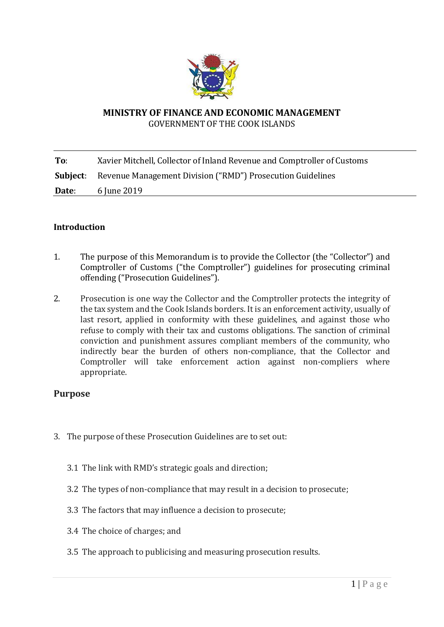

### **MINISTRY OF FINANCE AND ECONOMIC MANAGEMENT** GOVERNMENT OF THE COOK ISLANDS

**To**: Xavier Mitchell, Collector of Inland Revenue and Comptroller of Customs **Subject**: Revenue Management Division ("RMD") Prosecution Guidelines **Date:** 6 June 2019

# **Introduction**

- 1. The purpose of this Memorandum is to provide the Collector (the "Collector") and Comptroller of Customs ("the Comptroller") guidelines for prosecuting criminal offending ("Prosecution Guidelines").
- 2. Prosecution is one way the Collector and the Comptroller protects the integrity of the tax system and the Cook Islands borders. It is an enforcement activity, usually of last resort, applied in conformity with these guidelines, and against those who refuse to comply with their tax and customs obligations. The sanction of criminal conviction and punishment assures compliant members of the community, who indirectly bear the burden of others non-compliance, that the Collector and Comptroller will take enforcement action against non-compliers where appropriate.

## **Purpose**

- 3. The purpose of these Prosecution Guidelines are to set out:
	- 3.1 The link with RMD's strategic goals and direction;
	- 3.2 The types of non-compliance that may result in a decision to prosecute;
	- 3.3 The factors that may influence a decision to prosecute;
	- 3.4 The choice of charges; and
	- 3.5 The approach to publicising and measuring prosecution results.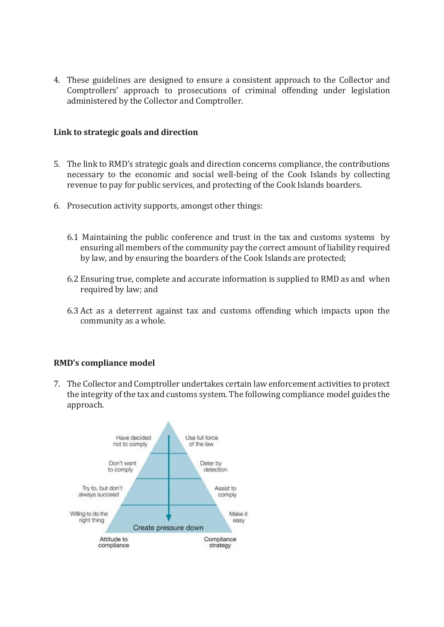4. These guidelines are designed to ensure a consistent approach to the Collector and Comptrollers' approach to prosecutions of criminal offending under legislation administered by the Collector and Comptroller.

### **Link to strategic goals and direction**

- 5. The link to RMD's strategic goals and direction concerns compliance, the contributions necessary to the economic and social well-being of the Cook Islands by collecting revenue to pay for public services, and protecting of the Cook Islands boarders.
- 6. Prosecution activity supports, amongst other things:
	- 6.1 Maintaining the public conference and trust in the tax and customs systems by ensuring all members of the community pay the correct amount of liability required by law, and by ensuring the boarders of the Cook Islands are protected;
	- 6.2 Ensuring true, complete and accurate information is supplied to RMD as and when required by law; and
	- 6.3 Act as a deterrent against tax and customs offending which impacts upon the community as a whole.

## **RMD's compliance model**

7. The Collector and Comptroller undertakes certain law enforcement activities to protect the integrity of the tax and customs system. The following compliance model guides the approach.

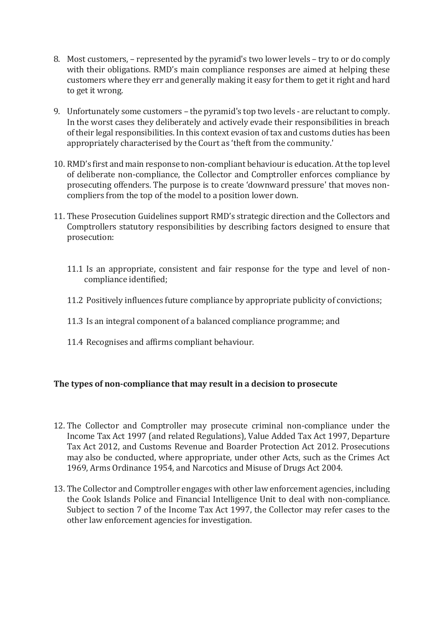- 8. Most customers, represented by the pyramid's two lower levels try to or do comply with their obligations. RMD's main compliance responses are aimed at helping these customers where they err and generally making it easy for them to get it right and hard to get it wrong.
- 9. Unfortunately some customers the pyramid's top two levels are reluctant to comply. In the worst cases they deliberately and actively evade their responsibilities in breach of their legal responsibilities. In this context evasion of tax and customs duties has been appropriately characterised by the Court as 'theft from the community.'
- 10. RMD's first and main response to non-compliant behaviour is education. At the top level of deliberate non-compliance, the Collector and Comptroller enforces compliance by prosecuting offenders. The purpose is to create 'downward pressure' that moves noncompliers from the top of the model to a position lower down.
- 11. These Prosecution Guidelines support RMD's strategic direction and the Collectors and Comptrollers statutory responsibilities by describing factors designed to ensure that prosecution:
	- 11.1 Is an appropriate, consistent and fair response for the type and level of noncompliance identified;
	- 11.2 Positively influences future compliance by appropriate publicity of convictions;
	- 11.3 Is an integral component of a balanced compliance programme; and
	- 11.4 Recognises and affirms compliant behaviour.

## **The types of non-compliance that may result in a decision to prosecute**

- 12. The Collector and Comptroller may prosecute criminal non-compliance under the Income Tax Act 1997 (and related Regulations), Value Added Tax Act 1997, Departure Tax Act 2012, and Customs Revenue and Boarder Protection Act 2012. Prosecutions may also be conducted, where appropriate, under other Acts, such as the Crimes Act 1969, Arms Ordinance 1954, and Narcotics and Misuse of Drugs Act 2004.
- 13. The Collector and Comptroller engages with other law enforcement agencies, including the Cook Islands Police and Financial Intelligence Unit to deal with non-compliance. Subject to section 7 of the Income Tax Act 1997, the Collector may refer cases to the other law enforcement agencies for investigation.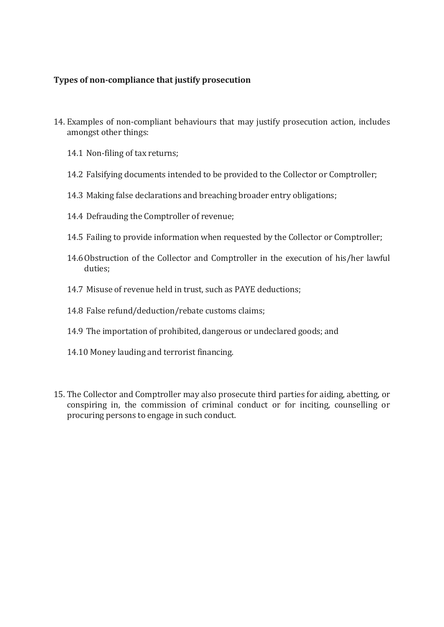# **Types of non-compliance that justify prosecution**

- 14. Examples of non-compliant behaviours that may justify prosecution action, includes amongst other things:
	- 14.1 Non-filing of tax returns;
	- 14.2 Falsifying documents intended to be provided to the Collector or Comptroller;
	- 14.3 Making false declarations and breaching broader entry obligations;
	- 14.4 Defrauding the Comptroller of revenue;
	- 14.5 Failing to provide information when requested by the Collector or Comptroller;
	- 14.6Obstruction of the Collector and Comptroller in the execution of his/her lawful duties;
	- 14.7 Misuse of revenue held in trust, such as PAYE deductions;
	- 14.8 False refund/deduction/rebate customs claims;
	- 14.9 The importation of prohibited, dangerous or undeclared goods; and
	- 14.10 Money lauding and terrorist financing.
- 15. The Collector and Comptroller may also prosecute third parties for aiding, abetting, or conspiring in, the commission of criminal conduct or for inciting, counselling or procuring persons to engage in such conduct.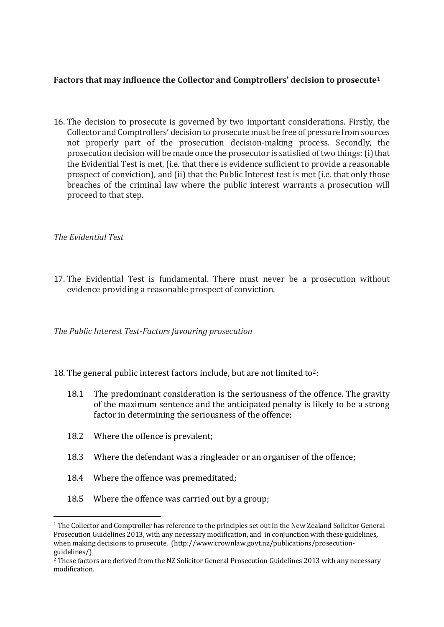# **Factors that may influence the Collector and Comptrollers' decision to prosecute<sup>1</sup>**

16. The decision to prosecute is governed by two important considerations. Firstly, the Collector and Comptrollers' decision to prosecute must be free of pressure from sources not properly part of the prosecution decision-making process. Secondly, the prosecution decision will be made once the prosecutor is satisfied of two things: (i) that the Evidential Test is met, (i.e. that there is evidence sufficient to provide a reasonable prospect of conviction), and (ii) that the Public Interest test is met (i.e. that only those breaches of the criminal law where the public interest warrants a prosecution will proceed to that step.

## *The Evidential Test*

 $\overline{a}$ 

17. The Evidential Test is fundamental. There must never be a prosecution without evidence providing a reasonable prospect of conviction.

*The Public Interest Test*-*Factors favouring prosecution*

- 18. The general public interest factors include, but are not limited to<sup>2</sup>:
	- 18.1 The predominant consideration is the seriousness of the offence. The gravity of the maximum sentence and the anticipated penalty is likely to be a strong factor in determining the seriousness of the offence;
	- 18.2 Where the offence is prevalent;
	- 18.3 Where the defendant was a ringleader or an organiser of the offence;
	- 18.4 Where the offence was premeditated;
	- 18.5 Where the offence was carried out by a group;

<sup>&</sup>lt;sup>1</sup> The Collector and Comptroller has reference to the principles set out in the New Zealand Solicitor General Prosecution Guidelines 2013, with any necessary modification, and in conjunction with these guidelines, when making decisions to prosecute. (http://www.crownlaw.govt.nz/publications/prosecutionguidelines/)

<sup>&</sup>lt;sup>2</sup> These factors are derived from the NZ Solicitor General Prosecution Guidelines 2013 with any necessary modification.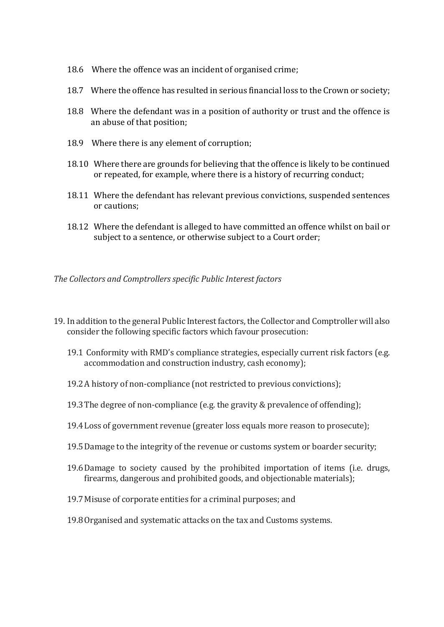- 18.6 Where the offence was an incident of organised crime;
- 18.7 Where the offence has resulted in serious financial loss to the Crown or society;
- 18.8 Where the defendant was in a position of authority or trust and the offence is an abuse of that position;
- 18.9 Where there is any element of corruption;
- 18.10 Where there are grounds for believing that the offence is likely to be continued or repeated, for example, where there is a history of recurring conduct;
- 18.11 Where the defendant has relevant previous convictions, suspended sentences or cautions;
- 18.12 Where the defendant is alleged to have committed an offence whilst on bail or subject to a sentence, or otherwise subject to a Court order;

*The Collectors and Comptrollers specific Public Interest factors*

- 19. In addition to the general Public Interest factors, the Collector and Comptroller will also consider the following specific factors which favour prosecution:
	- 19.1 Conformity with RMD's compliance strategies, especially current risk factors (e.g. accommodation and construction industry, cash economy);
	- 19.2A history of non-compliance (not restricted to previous convictions);
	- 19.3The degree of non-compliance (e.g. the gravity & prevalence of offending);
	- 19.4Loss of government revenue (greater loss equals more reason to prosecute);
	- 19.5Damage to the integrity of the revenue or customs system or boarder security;
	- 19.6Damage to society caused by the prohibited importation of items (i.e. drugs, firearms, dangerous and prohibited goods, and objectionable materials);
	- 19.7Misuse of corporate entities for a criminal purposes; and
	- 19.8Organised and systematic attacks on the tax and Customs systems.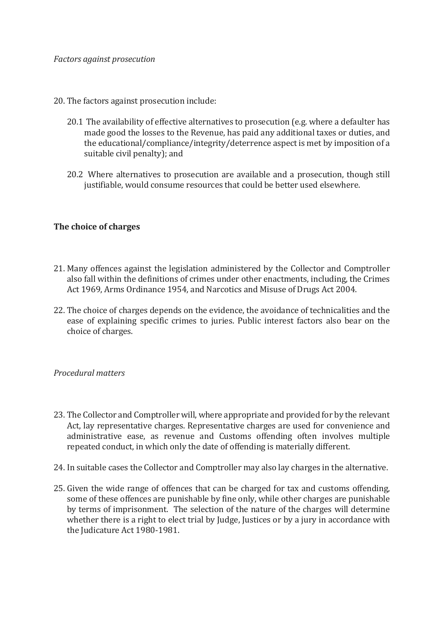- 20. The factors against prosecution include:
	- 20.1 The availability of effective alternatives to prosecution (e.g. where a defaulter has made good the losses to the Revenue, has paid any additional taxes or duties, and the educational/compliance/integrity/deterrence aspect is met by imposition of a suitable civil penalty); and
	- 20.2 Where alternatives to prosecution are available and a prosecution, though still justifiable, would consume resources that could be better used elsewhere.

#### **The choice of charges**

- 21. Many offences against the legislation administered by the Collector and Comptroller also fall within the definitions of crimes under other enactments, including, the Crimes Act 1969, Arms Ordinance 1954, and Narcotics and Misuse of Drugs Act 2004.
- 22. The choice of charges depends on the evidence, the avoidance of technicalities and the ease of explaining specific crimes to juries. Public interest factors also bear on the choice of charges.

#### *Procedural matters*

- 23. The Collector and Comptroller will, where appropriate and provided for by the relevant Act, lay representative charges. Representative charges are used for convenience and administrative ease, as revenue and Customs offending often involves multiple repeated conduct, in which only the date of offending is materially different.
- 24. In suitable cases the Collector and Comptroller may also lay charges in the alternative.
- 25. Given the wide range of offences that can be charged for tax and customs offending, some of these offences are punishable by fine only, while other charges are punishable by terms of imprisonment. The selection of the nature of the charges will determine whether there is a right to elect trial by Judge, Justices or by a jury in accordance with the Judicature Act 1980-1981.